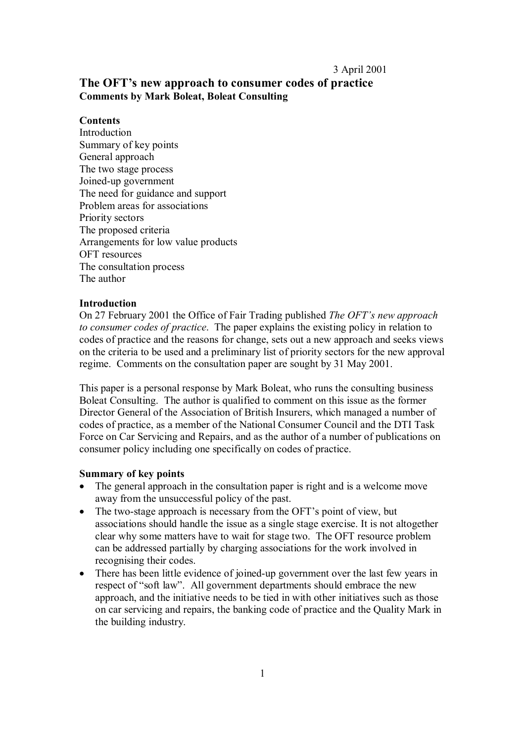### 3 April 2001

# **The OFT's new approach to consumer codes of practice Comments by Mark Boleat, Boleat Consulting**

# **Contents**

Introduction Summary of key points General approach The two stage process Joined-up government The need for guidance and support Problem areas for associations Priority sectors The proposed criteria Arrangements for low value products OFT resources The consultation process The author

# **Introduction**

On 27 February 2001 the Office of Fair Trading published *The OFT's new approach to consumer codes of practice*. The paper explains the existing policy in relation to codes of practice and the reasons for change, sets out a new approach and seeks views on the criteria to be used and a preliminary list of priority sectors for the new approval regime. Comments on the consultation paper are sought by 31 May 2001.

This paper is a personal response by Mark Boleat, who runs the consulting business Boleat Consulting. The author is qualified to comment on this issue as the former Director General of the Association of British Insurers, which managed a number of codes of practice, as a member of the National Consumer Council and the DTI Task Force on Car Servicing and Repairs, and as the author of a number of publications on consumer policy including one specifically on codes of practice.

### **Summary of key points**

- The general approach in the consultation paper is right and is a welcome move away from the unsuccessful policy of the past.
- The two-stage approach is necessary from the OFT's point of view, but associations should handle the issue as a single stage exercise. It is not altogether clear why some matters have to wait for stage two. The OFT resource problem can be addressed partially by charging associations for the work involved in recognising their codes.
- There has been little evidence of joined-up government over the last few years in respect of "soft law". All government departments should embrace the new approach, and the initiative needs to be tied in with other initiatives such as those on car servicing and repairs, the banking code of practice and the Quality Mark in the building industry.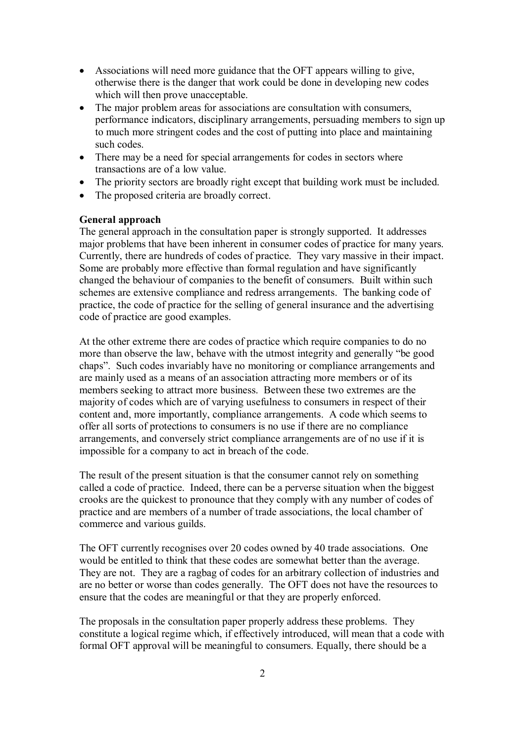- · Associations will need more guidance that the OFT appears willing to give, otherwise there is the danger that work could be done in developing new codes which will then prove unacceptable.
- The major problem areas for associations are consultation with consumers, performance indicators, disciplinary arrangements, persuading members to sign up to much more stringent codes and the cost of putting into place and maintaining such codes.
- There may be a need for special arrangements for codes in sectors where transactions are of a low value.
- The priority sectors are broadly right except that building work must be included.
- The proposed criteria are broadly correct.

#### **General approach**

The general approach in the consultation paper is strongly supported. It addresses major problems that have been inherent in consumer codes of practice for many years. Currently, there are hundreds of codes of practice. They vary massive in their impact. Some are probably more effective than formal regulation and have significantly changed the behaviour of companies to the benefit of consumers. Built within such schemes are extensive compliance and redress arrangements. The banking code of practice, the code of practice for the selling of general insurance and the advertising code of practice are good examples.

At the other extreme there are codes of practice which require companies to do no more than observe the law, behave with the utmost integrity and generally "be good chaps". Such codes invariably have no monitoring or compliance arrangements and are mainly used as a means of an association attracting more members or of its members seeking to attract more business. Between these two extremes are the majority of codes which are of varying usefulness to consumers in respect of their content and, more importantly, compliance arrangements. A code which seems to offer all sorts of protections to consumers is no use if there are no compliance arrangements, and conversely strict compliance arrangements are of no use if it is impossible for a company to act in breach of the code.

The result of the present situation is that the consumer cannot rely on something called a code of practice. Indeed, there can be a perverse situation when the biggest crooks are the quickest to pronounce that they comply with any number of codes of practice and are members of a number of trade associations, the local chamber of commerce and various guilds.

The OFT currently recognises over 20 codes owned by 40 trade associations. One would be entitled to think that these codes are somewhat better than the average. They are not. They are a ragbag of codes for an arbitrary collection of industries and are no better or worse than codes generally. The OFT does not have the resources to ensure that the codes are meaningful or that they are properly enforced.

The proposals in the consultation paper properly address these problems. They constitute a logical regime which, if effectively introduced, will mean that a code with formal OFT approval will be meaningful to consumers. Equally, there should be a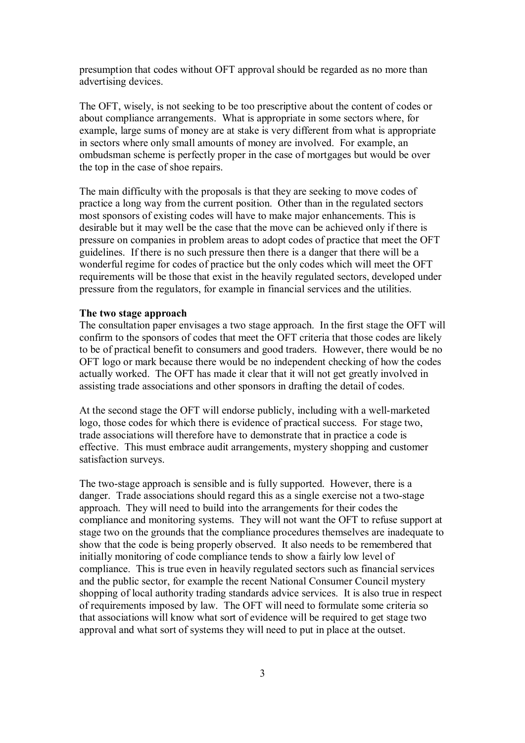presumption that codes without OFT approval should be regarded as no more than advertising devices.

The OFT, wisely, is not seeking to be too prescriptive about the content of codes or about compliance arrangements. What is appropriate in some sectors where, for example, large sums of money are at stake is very different from what is appropriate in sectors where only small amounts of money are involved. For example, an ombudsman scheme is perfectly proper in the case of mortgages but would be over the top in the case of shoe repairs.

The main difficulty with the proposals is that they are seeking to move codes of practice a long way from the current position. Other than in the regulated sectors most sponsors of existing codes will have to make major enhancements. This is desirable but it may well be the case that the move can be achieved only if there is pressure on companies in problem areas to adopt codes of practice that meet the OFT guidelines. If there is no such pressure then there is a danger that there will be a wonderful regime for codes of practice but the only codes which will meet the OFT requirements will be those that exist in the heavily regulated sectors, developed under pressure from the regulators, for example in financial services and the utilities.

# **The two stage approach**

The consultation paper envisages a two stage approach. In the first stage the OFT will confirm to the sponsors of codes that meet the OFT criteria that those codes are likely to be of practical benefit to consumers and good traders. However, there would be no OFT logo or mark because there would be no independent checking of how the codes actually worked. The OFT has made it clear that it will not get greatly involved in assisting trade associations and other sponsors in drafting the detail of codes.

At the second stage the OFT will endorse publicly, including with a well-marketed logo, those codes for which there is evidence of practical success. For stage two, trade associations will therefore have to demonstrate that in practice a code is effective. This must embrace audit arrangements, mystery shopping and customer satisfaction surveys.

The two-stage approach is sensible and is fully supported. However, there is a danger. Trade associations should regard this as a single exercise not a two-stage approach. They will need to build into the arrangements for their codes the compliance and monitoring systems. They will not want the OFT to refuse support at stage two on the grounds that the compliance procedures themselves are inadequate to show that the code is being properly observed. It also needs to be remembered that initially monitoring of code compliance tends to show a fairly low level of compliance. This is true even in heavily regulated sectors such as financial services and the public sector, for example the recent National Consumer Council mystery shopping of local authority trading standards advice services. It is also true in respect of requirements imposed by law. The OFT will need to formulate some criteria so that associations will know what sort of evidence will be required to get stage two approval and what sort of systems they will need to put in place at the outset.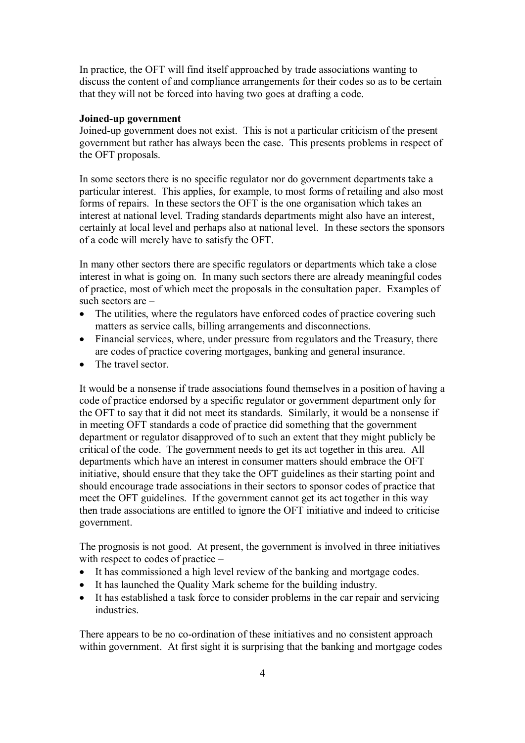In practice, the OFT will find itself approached by trade associations wanting to discuss the content of and compliance arrangements for their codes so as to be certain that they will not be forced into having two goes at drafting a code.

#### **Joined-up government**

Joined-up government does not exist. This is not a particular criticism of the present government but rather has always been the case. This presents problems in respect of the OFT proposals.

In some sectors there is no specific regulator nor do government departments take a particular interest. This applies, for example, to most forms of retailing and also most forms of repairs. In these sectors the OFT is the one organisation which takes an interest at national level. Trading standards departments might also have an interest, certainly at local level and perhaps also at national level. In these sectors the sponsors of a code will merely have to satisfy the OFT.

In many other sectors there are specific regulators or departments which take a close interest in what is going on. In many such sectors there are already meaningful codes of practice, most of which meet the proposals in the consultation paper. Examples of such sectors are –

- The utilities, where the regulators have enforced codes of practice covering such matters as service calls, billing arrangements and disconnections.
- · Financial services, where, under pressure from regulators and the Treasury, there are codes of practice covering mortgages, banking and general insurance.
- The travel sector.

It would be a nonsense if trade associations found themselves in a position of having a code of practice endorsed by a specific regulator or government department only for the OFT to say that it did not meet its standards. Similarly, it would be a nonsense if in meeting OFT standards a code of practice did something that the government department or regulator disapproved of to such an extent that they might publicly be critical of the code. The government needs to get its act together in this area. All departments which have an interest in consumer matters should embrace the OFT initiative, should ensure that they take the OFT guidelines as their starting point and should encourage trade associations in their sectors to sponsor codes of practice that meet the OFT guidelines. If the government cannot get its act together in this way then trade associations are entitled to ignore the OFT initiative and indeed to criticise government.

The prognosis is not good. At present, the government is involved in three initiatives with respect to codes of practice –

- · It has commissioned a high level review of the banking and mortgage codes.
- · It has launched the Quality Mark scheme for the building industry.
- It has established a task force to consider problems in the car repair and servicing industries.

There appears to be no co-ordination of these initiatives and no consistent approach within government. At first sight it is surprising that the banking and mortgage codes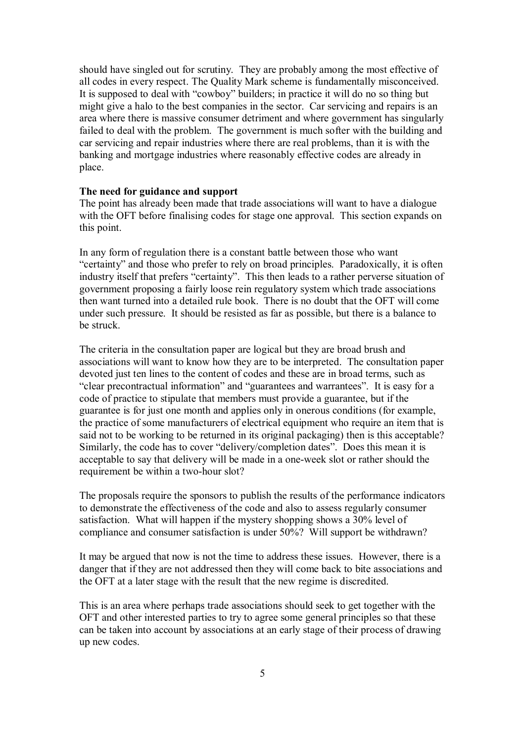should have singled out for scrutiny. They are probably among the most effective of all codes in every respect. The Quality Mark scheme is fundamentally misconceived. It is supposed to deal with "cowboy" builders; in practice it will do no so thing but might give a halo to the best companies in the sector. Car servicing and repairs is an area where there is massive consumer detriment and where government has singularly failed to deal with the problem. The government is much softer with the building and car servicing and repair industries where there are real problems, than it is with the banking and mortgage industries where reasonably effective codes are already in place.

# **The need for guidance and support**

The point has already been made that trade associations will want to have a dialogue with the OFT before finalising codes for stage one approval. This section expands on this point.

In any form of regulation there is a constant battle between those who want "certainty" and those who prefer to rely on broad principles. Paradoxically, it is often industry itself that prefers "certainty". This then leads to a rather perverse situation of government proposing a fairly loose rein regulatory system which trade associations then want turned into a detailed rule book. There is no doubt that the OFT will come under such pressure. It should be resisted as far as possible, but there is a balance to be struck.

The criteria in the consultation paper are logical but they are broad brush and associations will want to know how they are to be interpreted. The consultation paper devoted just ten lines to the content of codes and these are in broad terms, such as "clear precontractual information" and "guarantees and warrantees". It is easy for a code of practice to stipulate that members must provide a guarantee, but if the guarantee is for just one month and applies only in onerous conditions (for example, the practice of some manufacturers of electrical equipment who require an item that is said not to be working to be returned in its original packaging) then is this acceptable? Similarly, the code has to cover "delivery/completion dates". Does this mean it is acceptable to say that delivery will be made in a one-week slot or rather should the requirement be within a two-hour slot?

The proposals require the sponsors to publish the results of the performance indicators to demonstrate the effectiveness of the code and also to assess regularly consumer satisfaction. What will happen if the mystery shopping shows a 30% level of compliance and consumer satisfaction is under 50%? Will support be withdrawn?

It may be argued that now is not the time to address these issues. However, there is a danger that if they are not addressed then they will come back to bite associations and the OFT at a later stage with the result that the new regime is discredited.

This is an area where perhaps trade associations should seek to get together with the OFT and other interested parties to try to agree some general principles so that these can be taken into account by associations at an early stage of their process of drawing up new codes.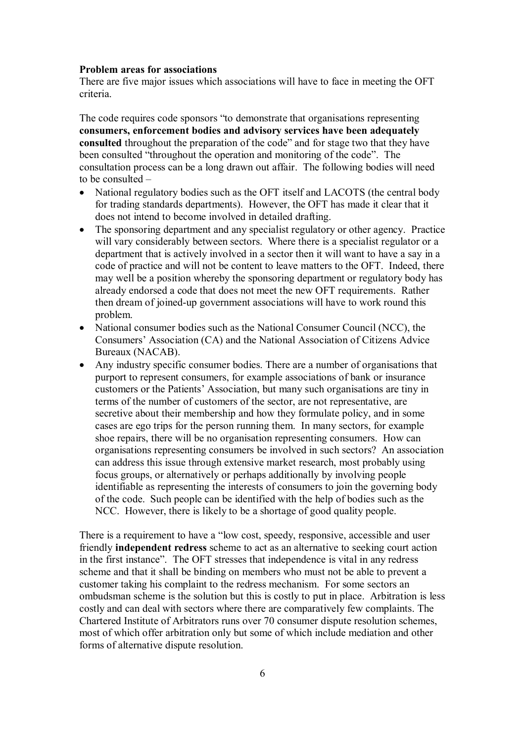#### **Problem areas for associations**

There are five major issues which associations will have to face in meeting the OFT criteria.

The code requires code sponsors "to demonstrate that organisations representing **consumers, enforcement bodies and advisory services have been adequately consulted** throughout the preparation of the code" and for stage two that they have been consulted "throughout the operation and monitoring of the code". The consultation process can be a long drawn out affair. The following bodies will need to be consulted –

- National regulatory bodies such as the OFT itself and LACOTS (the central body for trading standards departments). However, the OFT has made it clear that it does not intend to become involved in detailed drafting.
- The sponsoring department and any specialist regulatory or other agency. Practice will vary considerably between sectors. Where there is a specialist regulator or a department that is actively involved in a sector then it will want to have a say in a code of practice and will not be content to leave matters to the OFT. Indeed, there may well be a position whereby the sponsoring department or regulatory body has already endorsed a code that does not meet the new OFT requirements. Rather then dream of joined-up government associations will have to work round this problem.
- National consumer bodies such as the National Consumer Council (NCC), the Consumers' Association (CA) and the National Association of Citizens Advice Bureaux (NACAB).
- · Any industry specific consumer bodies. There are a number of organisations that purport to represent consumers, for example associations of bank or insurance customers or the Patients' Association, but many such organisations are tiny in terms of the number of customers of the sector, are not representative, are secretive about their membership and how they formulate policy, and in some cases are ego trips for the person running them. In many sectors, for example shoe repairs, there will be no organisation representing consumers. How can organisations representing consumers be involved in such sectors? An association can address this issue through extensive market research, most probably using focus groups, or alternatively or perhaps additionally by involving people identifiable as representing the interests of consumers to join the governing body of the code. Such people can be identified with the help of bodies such as the NCC. However, there is likely to be a shortage of good quality people.

There is a requirement to have a "low cost, speedy, responsive, accessible and user friendly **independent redress** scheme to act as an alternative to seeking court action in the first instance". The OFT stresses that independence is vital in any redress scheme and that it shall be binding on members who must not be able to prevent a customer taking his complaint to the redress mechanism. For some sectors an ombudsman scheme is the solution but this is costly to put in place. Arbitration is less costly and can deal with sectors where there are comparatively few complaints. The Chartered Institute of Arbitrators runs over 70 consumer dispute resolution schemes, most of which offer arbitration only but some of which include mediation and other forms of alternative dispute resolution.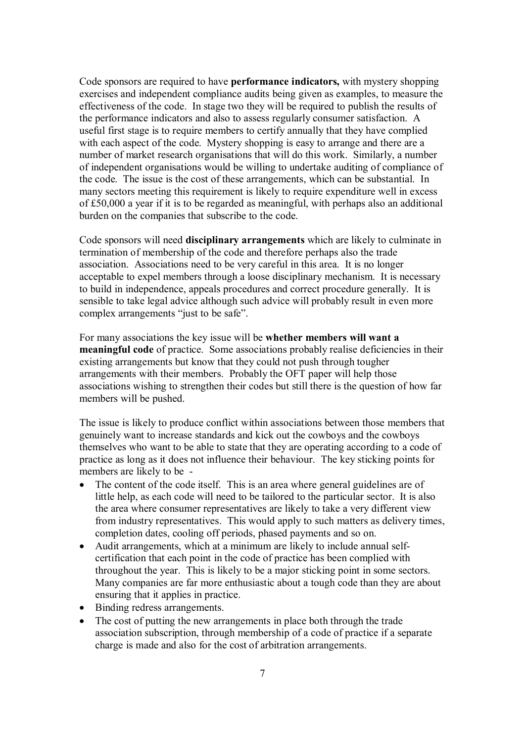Code sponsors are required to have **performance indicators,** with mystery shopping exercises and independent compliance audits being given as examples, to measure the effectiveness of the code. In stage two they will be required to publish the results of the performance indicators and also to assess regularly consumer satisfaction. A useful first stage is to require members to certify annually that they have complied with each aspect of the code. Mystery shopping is easy to arrange and there are a number of market research organisations that will do this work. Similarly, a number of independent organisations would be willing to undertake auditing of compliance of the code. The issue is the cost of these arrangements, which can be substantial. In many sectors meeting this requirement is likely to require expenditure well in excess of £50,000 a year if it is to be regarded as meaningful, with perhaps also an additional burden on the companies that subscribe to the code.

Code sponsors will need **disciplinary arrangements** which are likely to culminate in termination of membership of the code and therefore perhaps also the trade association. Associations need to be very careful in this area. It is no longer acceptable to expel members through a loose disciplinary mechanism. It is necessary to build in independence, appeals procedures and correct procedure generally. It is sensible to take legal advice although such advice will probably result in even more complex arrangements "just to be safe".

For many associations the key issue will be **whether members will want a meaningful code** of practice. Some associations probably realise deficiencies in their existing arrangements but know that they could not push through tougher arrangements with their members. Probably the OFT paper will help those associations wishing to strengthen their codes but still there is the question of how far members will be pushed.

The issue is likely to produce conflict within associations between those members that genuinely want to increase standards and kick out the cowboys and the cowboys themselves who want to be able to state that they are operating according to a code of practice as long as it does not influence their behaviour. The key sticking points for members are likely to be -

- The content of the code itself. This is an area where general guidelines are of little help, as each code will need to be tailored to the particular sector. It is also the area where consumer representatives are likely to take a very different view from industry representatives. This would apply to such matters as delivery times, completion dates, cooling off periods, phased payments and so on.
- · Audit arrangements, which at a minimum are likely to include annual selfcertification that each point in the code of practice has been complied with throughout the year. This is likely to be a major sticking point in some sectors. Many companies are far more enthusiastic about a tough code than they are about ensuring that it applies in practice.
- Binding redress arrangements.
- The cost of putting the new arrangements in place both through the trade association subscription, through membership of a code of practice if a separate charge is made and also for the cost of arbitration arrangements.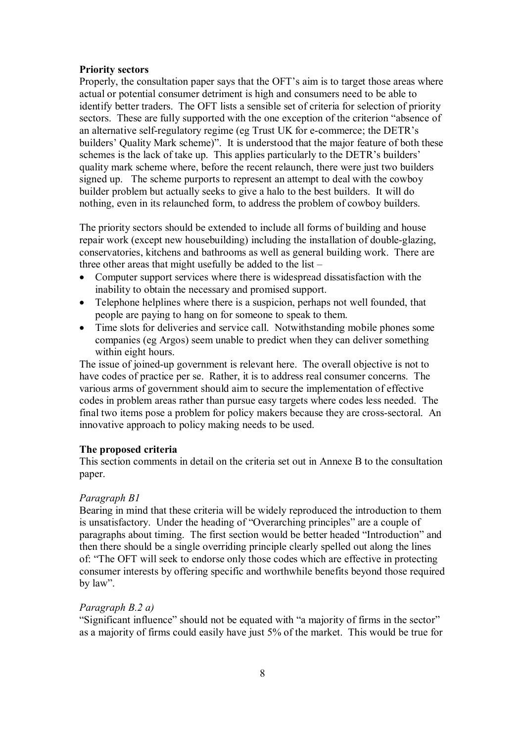#### **Priority sectors**

Properly, the consultation paper says that the OFT's aim is to target those areas where actual or potential consumer detriment is high and consumers need to be able to identify better traders. The OFT lists a sensible set of criteria for selection of priority sectors. These are fully supported with the one exception of the criterion "absence of an alternative self-regulatory regime (eg Trust UK for e-commerce; the DETR's builders' Quality Mark scheme)". It is understood that the major feature of both these schemes is the lack of take up. This applies particularly to the DETR's builders' quality mark scheme where, before the recent relaunch, there were just two builders signed up. The scheme purports to represent an attempt to deal with the cowboy builder problem but actually seeks to give a halo to the best builders. It will do nothing, even in its relaunched form, to address the problem of cowboy builders.

The priority sectors should be extended to include all forms of building and house repair work (except new housebuilding) including the installation of double-glazing, conservatories, kitchens and bathrooms as well as general building work. There are three other areas that might usefully be added to the list –

- · Computer support services where there is widespread dissatisfaction with the inability to obtain the necessary and promised support.
- · Telephone helplines where there is a suspicion, perhaps not well founded, that people are paying to hang on for someone to speak to them.
- Time slots for deliveries and service call. Notwithstanding mobile phones some companies (eg Argos) seem unable to predict when they can deliver something within eight hours.

The issue of joined-up government is relevant here. The overall objective is not to have codes of practice per se. Rather, it is to address real consumer concerns. The various arms of government should aim to secure the implementation of effective codes in problem areas rather than pursue easy targets where codes less needed. The final two items pose a problem for policy makers because they are cross-sectoral. An innovative approach to policy making needs to be used.

# **The proposed criteria**

This section comments in detail on the criteria set out in Annexe B to the consultation paper.

#### *Paragraph B1*

Bearing in mind that these criteria will be widely reproduced the introduction to them is unsatisfactory. Under the heading of "Overarching principles" are a couple of paragraphs about timing. The first section would be better headed "Introduction" and then there should be a single overriding principle clearly spelled out along the lines of: "The OFT will seek to endorse only those codes which are effective in protecting consumer interests by offering specific and worthwhile benefits beyond those required by law".

#### *Paragraph B.2 a)*

"Significant influence" should not be equated with "a majority of firms in the sector" as a majority of firms could easily have just 5% of the market. This would be true for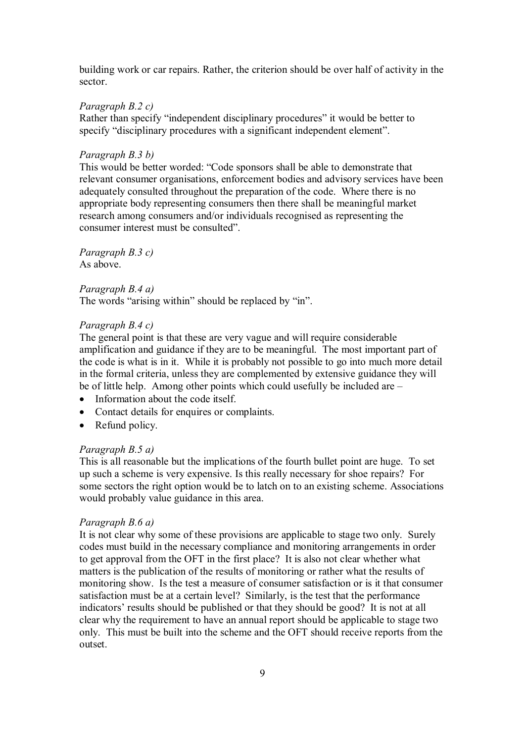building work or car repairs. Rather, the criterion should be over half of activity in the sector.

### *Paragraph B.2 c)*

Rather than specify "independent disciplinary procedures" it would be better to specify "disciplinary procedures with a significant independent element".

# *Paragraph B.3 b)*

This would be better worded: "Code sponsors shall be able to demonstrate that relevant consumer organisations, enforcement bodies and advisory services have been adequately consulted throughout the preparation of the code. Where there is no appropriate body representing consumers then there shall be meaningful market research among consumers and/or individuals recognised as representing the consumer interest must be consulted".

*Paragraph B.3 c)* As above.

## *Paragraph B.4 a)*

The words "arising within" should be replaced by "in".

# *Paragraph B.4 c)*

The general point is that these are very vague and will require considerable amplification and guidance if they are to be meaningful. The most important part of the code is what is in it. While it is probably not possible to go into much more detail in the formal criteria, unless they are complemented by extensive guidance they will be of little help. Among other points which could usefully be included are –

- Information about the code itself.
- · Contact details for enquires or complaints.
- Refund policy.

# *Paragraph B.5 a)*

This is all reasonable but the implications of the fourth bullet point are huge. To set up such a scheme is very expensive. Is this really necessary for shoe repairs? For some sectors the right option would be to latch on to an existing scheme. Associations would probably value guidance in this area.

#### *Paragraph B.6 a)*

It is not clear why some of these provisions are applicable to stage two only. Surely codes must build in the necessary compliance and monitoring arrangements in order to get approval from the OFT in the first place? It is also not clear whether what matters is the publication of the results of monitoring or rather what the results of monitoring show. Is the test a measure of consumer satisfaction or is it that consumer satisfaction must be at a certain level? Similarly, is the test that the performance indicators' results should be published or that they should be good? It is not at all clear why the requirement to have an annual report should be applicable to stage two only. This must be built into the scheme and the OFT should receive reports from the outset.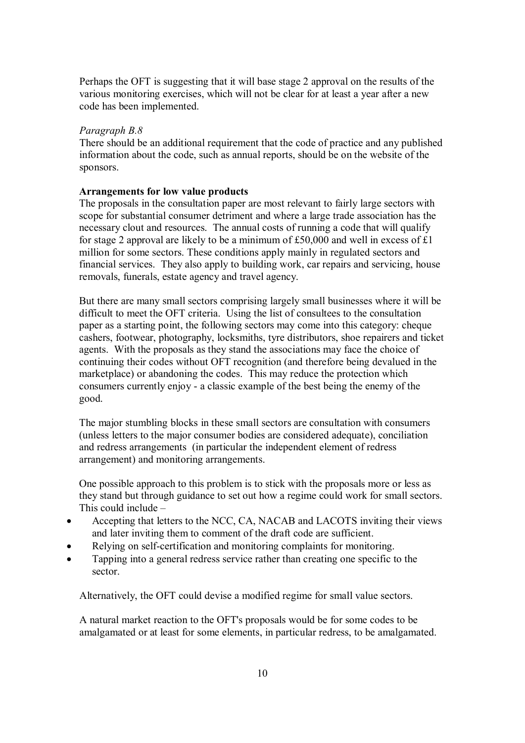Perhaps the OFT is suggesting that it will base stage 2 approval on the results of the various monitoring exercises, which will not be clear for at least a year after a new code has been implemented.

# *Paragraph B.8*

There should be an additional requirement that the code of practice and any published information about the code, such as annual reports, should be on the website of the sponsors.

# **Arrangements for low value products**

The proposals in the consultation paper are most relevant to fairly large sectors with scope for substantial consumer detriment and where a large trade association has the necessary clout and resources. The annual costs of running a code that will qualify for stage 2 approval are likely to be a minimum of £50,000 and well in excess of £1 million for some sectors. These conditions apply mainly in regulated sectors and financial services. They also apply to building work, car repairs and servicing, house removals, funerals, estate agency and travel agency.

But there are many small sectors comprising largely small businesses where it will be difficult to meet the OFT criteria. Using the list of consultees to the consultation paper as a starting point, the following sectors may come into this category: cheque cashers, footwear, photography, locksmiths, tyre distributors, shoe repairers and ticket agents. With the proposals as they stand the associations may face the choice of continuing their codes without OFT recognition (and therefore being devalued in the marketplace) or abandoning the codes. This may reduce the protection which consumers currently enjoy - a classic example of the best being the enemy of the good.

The major stumbling blocks in these small sectors are consultation with consumers (unless letters to the major consumer bodies are considered adequate), conciliation and redress arrangements (in particular the independent element of redress arrangement) and monitoring arrangements.

One possible approach to this problem is to stick with the proposals more or less as they stand but through guidance to set out how a regime could work for small sectors. This could include –

- Accepting that letters to the NCC, CA, NACAB and LACOTS inviting their views and later inviting them to comment of the draft code are sufficient.
- Relying on self-certification and monitoring complaints for monitoring.
- · Tapping into a general redress service rather than creating one specific to the sector.

Alternatively, the OFT could devise a modified regime for small value sectors.

A natural market reaction to the OFT's proposals would be for some codes to be amalgamated or at least for some elements, in particular redress, to be amalgamated.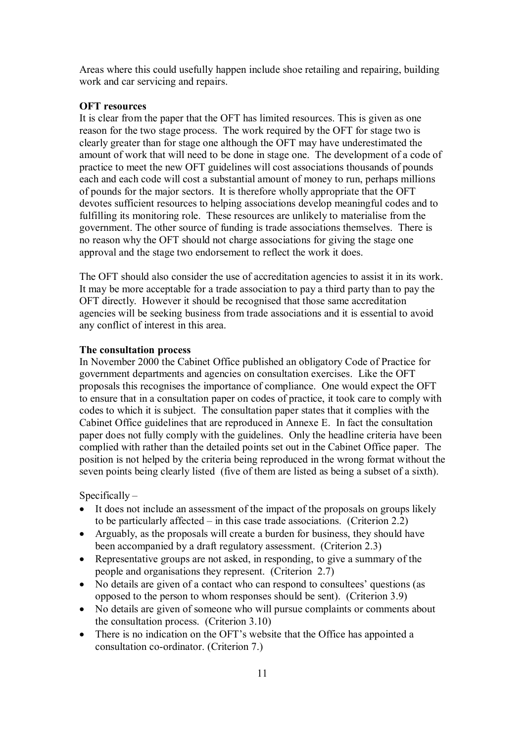Areas where this could usefully happen include shoe retailing and repairing, building work and car servicing and repairs.

# **OFT resources**

It is clear from the paper that the OFT has limited resources. This is given as one reason for the two stage process. The work required by the OFT for stage two is clearly greater than for stage one although the OFT may have underestimated the amount of work that will need to be done in stage one. The development of a code of practice to meet the new OFT guidelines will cost associations thousands of pounds each and each code will cost a substantial amount of money to run, perhaps millions of pounds for the major sectors. It is therefore wholly appropriate that the OFT devotes sufficient resources to helping associations develop meaningful codes and to fulfilling its monitoring role. These resources are unlikely to materialise from the government. The other source of funding is trade associations themselves. There is no reason why the OFT should not charge associations for giving the stage one approval and the stage two endorsement to reflect the work it does.

The OFT should also consider the use of accreditation agencies to assist it in its work. It may be more acceptable for a trade association to pay a third party than to pay the OFT directly. However it should be recognised that those same accreditation agencies will be seeking business from trade associations and it is essential to avoid any conflict of interest in this area.

#### **The consultation process**

In November 2000 the Cabinet Office published an obligatory Code of Practice for government departments and agencies on consultation exercises. Like the OFT proposals this recognises the importance of compliance. One would expect the OFT to ensure that in a consultation paper on codes of practice, it took care to comply with codes to which it is subject. The consultation paper states that it complies with the Cabinet Office guidelines that are reproduced in Annexe E. In fact the consultation paper does not fully comply with the guidelines. Only the headline criteria have been complied with rather than the detailed points set out in the Cabinet Office paper. The position is not helped by the criteria being reproduced in the wrong format without the seven points being clearly listed (five of them are listed as being a subset of a sixth).

#### $Specifically -$

- · It does not include an assessment of the impact of the proposals on groups likely to be particularly affected – in this case trade associations. (Criterion 2.2)
- Arguably, as the proposals will create a burden for business, they should have been accompanied by a draft regulatory assessment. (Criterion 2.3)
- · Representative groups are not asked, in responding, to give a summary of the people and organisations they represent. (Criterion 2.7)
- No details are given of a contact who can respond to consultees' questions (as opposed to the person to whom responses should be sent). (Criterion 3.9)
- · No details are given of someone who will pursue complaints or comments about the consultation process. (Criterion 3.10)
- There is no indication on the OFT's website that the Office has appointed a consultation co-ordinator. (Criterion 7.)